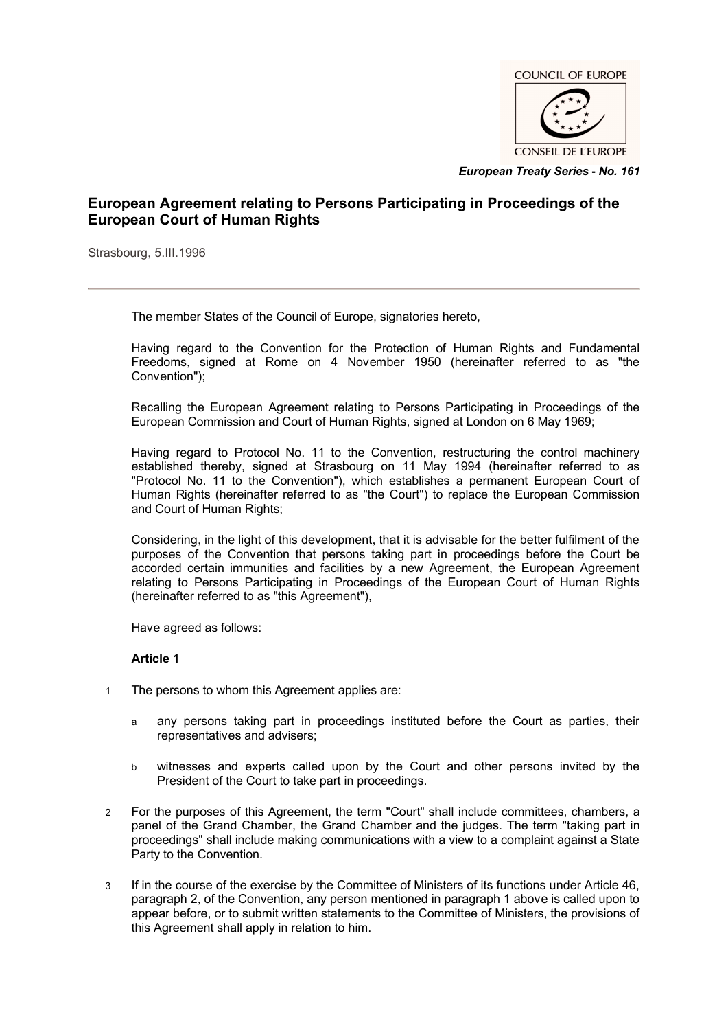

*European Treaty Series* **-** *No. 161*

# **European Agreement relating to Persons Participating in Proceedings of the European Court of Human Rights**

Strasbourg, 5.III.1996

The member States of the Council of Europe, signatories hereto,

Having regard to the Convention for the Protection of Human Rights and Fundamental Freedoms, signed at Rome on 4 November 1950 (hereinafter referred to as "the Convention");

Recalling the European Agreement relating to Persons Participating in Proceedings of the European Commission and Court of Human Rights, signed at London on 6 May 1969;

Having regard to Protocol No. 11 to the Convention, restructuring the control machinery established thereby, signed at Strasbourg on 11 May 1994 (hereinafter referred to as "Protocol No. 11 to the Convention"), which establishes a permanent European Court of Human Rights (hereinafter referred to as "the Court") to replace the European Commission and Court of Human Rights;

Considering, in the light of this development, that it is advisable for the better fulfilment of the purposes of the Convention that persons taking part in proceedings before the Court be accorded certain immunities and facilities by a new Agreement, the European Agreement relating to Persons Participating in Proceedings of the European Court of Human Rights (hereinafter referred to as "this Agreement"),

Have agreed as follows:

## **Article 1**

- 1 The persons to whom this Agreement applies are:
	- a any persons taking part in proceedings instituted before the Court as parties, their representatives and advisers;
	- b witnesses and experts called upon by the Court and other persons invited by the President of the Court to take part in proceedings.
- 2 For the purposes of this Agreement, the term "Court" shall include committees, chambers, a panel of the Grand Chamber, the Grand Chamber and the judges. The term "taking part in proceedings" shall include making communications with a view to a complaint against a State Party to the Convention.
- 3 If in the course of the exercise by the Committee of Ministers of its functions under Article 46, paragraph 2, of the Convention, any person mentioned in paragraph 1 above is called upon to appear before, or to submit written statements to the Committee of Ministers, the provisions of this Agreement shall apply in relation to him.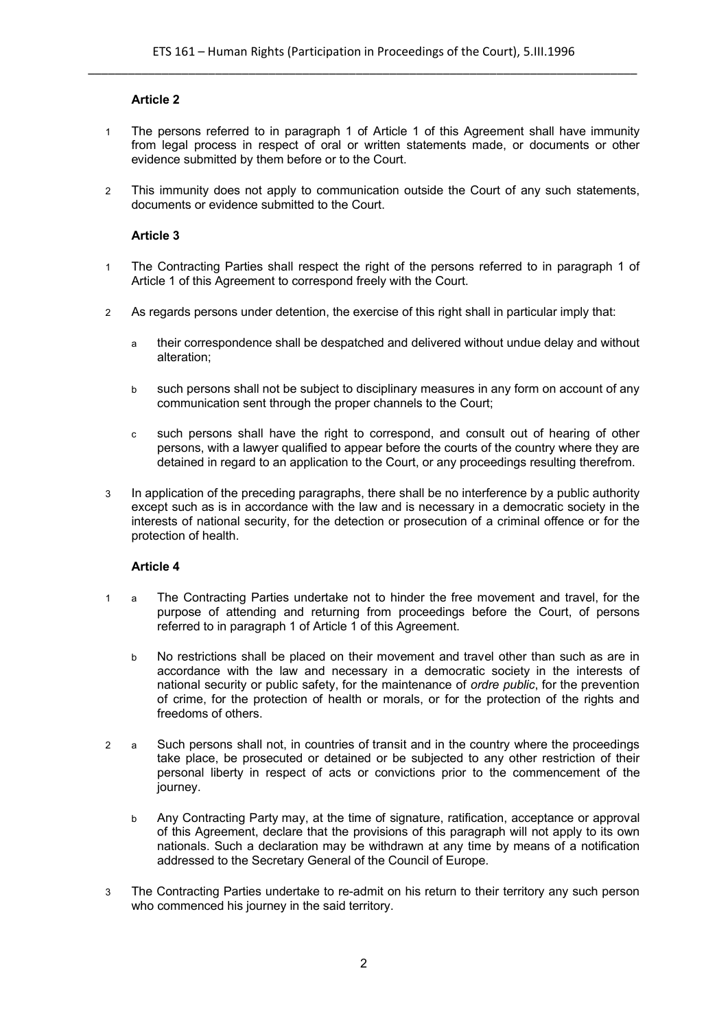## **Article 2**

- 1 The persons referred to in paragraph 1 of Article 1 of this Agreement shall have immunity from legal process in respect of oral or written statements made, or documents or other evidence submitted by them before or to the Court.
- 2 This immunity does not apply to communication outside the Court of any such statements, documents or evidence submitted to the Court.

## **Article 3**

- 1 The Contracting Parties shall respect the right of the persons referred to in paragraph 1 of Article 1 of this Agreement to correspond freely with the Court.
- 2 As regards persons under detention, the exercise of this right shall in particular imply that:
	- a their correspondence shall be despatched and delivered without undue delay and without alteration;
	- b such persons shall not be subject to disciplinary measures in any form on account of any communication sent through the proper channels to the Court;
	- c such persons shall have the right to correspond, and consult out of hearing of other persons, with a lawyer qualified to appear before the courts of the country where they are detained in regard to an application to the Court, or any proceedings resulting therefrom.
- 3 In application of the preceding paragraphs, there shall be no interference by a public authority except such as is in accordance with the law and is necessary in a democratic society in the interests of national security, for the detection or prosecution of a criminal offence or for the protection of health.

## **Article 4**

- 1 a The Contracting Parties undertake not to hinder the free movement and travel, for the purpose of attending and returning from proceedings before the Court, of persons referred to in paragraph 1 of Article 1 of this Agreement.
	- b No restrictions shall be placed on their movement and travel other than such as are in accordance with the law and necessary in a democratic society in the interests of national security or public safety, for the maintenance of *ordre public*, for the prevention of crime, for the protection of health or morals, or for the protection of the rights and freedoms of others.
- 2 a Such persons shall not, in countries of transit and in the country where the proceedings take place, be prosecuted or detained or be subjected to any other restriction of their personal liberty in respect of acts or convictions prior to the commencement of the journey.
	- b Any Contracting Party may, at the time of signature, ratification, acceptance or approval of this Agreement, declare that the provisions of this paragraph will not apply to its own nationals. Such a declaration may be withdrawn at any time by means of a notification addressed to the Secretary General of the Council of Europe.
- 3 The Contracting Parties undertake to re-admit on his return to their territory any such person who commenced his journey in the said territory.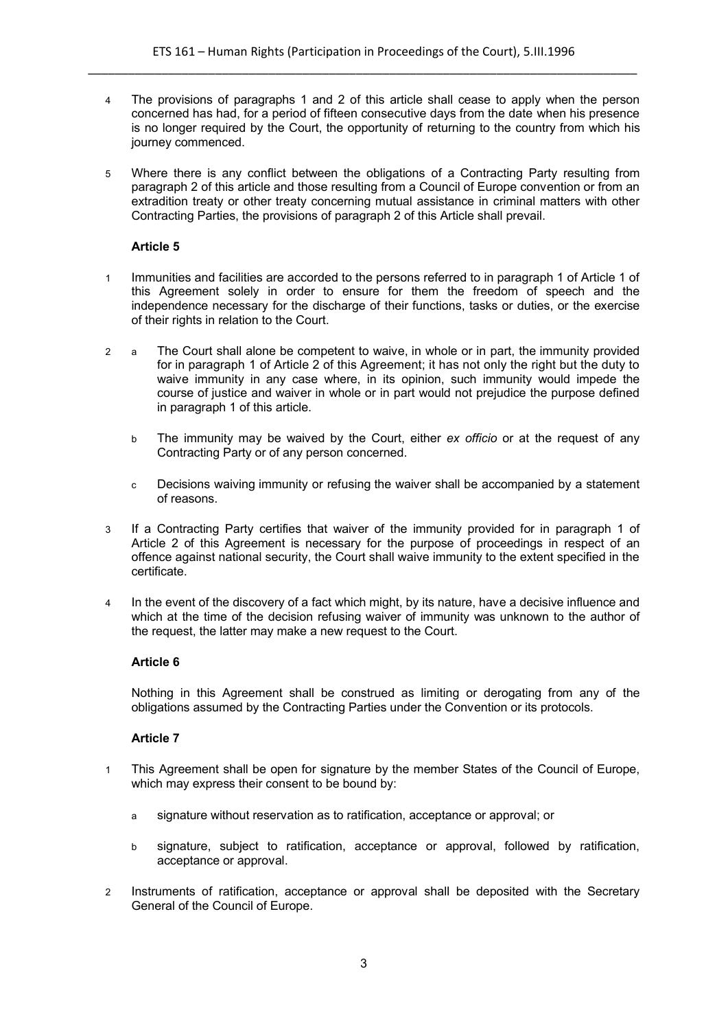- 4 The provisions of paragraphs 1 and 2 of this article shall cease to apply when the person concerned has had, for a period of fifteen consecutive days from the date when his presence is no longer required by the Court, the opportunity of returning to the country from which his journey commenced.
- 5 Where there is any conflict between the obligations of a Contracting Party resulting from paragraph 2 of this article and those resulting from a Council of Europe convention or from an extradition treaty or other treaty concerning mutual assistance in criminal matters with other Contracting Parties, the provisions of paragraph 2 of this Article shall prevail.

## **Article 5**

- 1 Immunities and facilities are accorded to the persons referred to in paragraph 1 of Article 1 of this Agreement solely in order to ensure for them the freedom of speech and the independence necessary for the discharge of their functions, tasks or duties, or the exercise of their rights in relation to the Court.
- 2 a The Court shall alone be competent to waive, in whole or in part, the immunity provided for in paragraph 1 of Article 2 of this Agreement; it has not only the right but the duty to waive immunity in any case where, in its opinion, such immunity would impede the course of justice and waiver in whole or in part would not prejudice the purpose defined in paragraph 1 of this article.
	- b The immunity may be waived by the Court, either *ex officio* or at the request of any Contracting Party or of any person concerned.
	- c Decisions waiving immunity or refusing the waiver shall be accompanied by a statement of reasons.
- 3 If a Contracting Party certifies that waiver of the immunity provided for in paragraph 1 of Article 2 of this Agreement is necessary for the purpose of proceedings in respect of an offence against national security, the Court shall waive immunity to the extent specified in the certificate.
- 4 In the event of the discovery of a fact which might, by its nature, have a decisive influence and which at the time of the decision refusing waiver of immunity was unknown to the author of the request, the latter may make a new request to the Court.

## **Article 6**

Nothing in this Agreement shall be construed as limiting or derogating from any of the obligations assumed by the Contracting Parties under the Convention or its protocols.

## **Article 7**

- 1 This Agreement shall be open for signature by the member States of the Council of Europe, which may express their consent to be bound by:
	- a signature without reservation as to ratification, acceptance or approval; or
	- b signature, subject to ratification, acceptance or approval, followed by ratification, acceptance or approval.
- 2 Instruments of ratification, acceptance or approval shall be deposited with the Secretary General of the Council of Europe.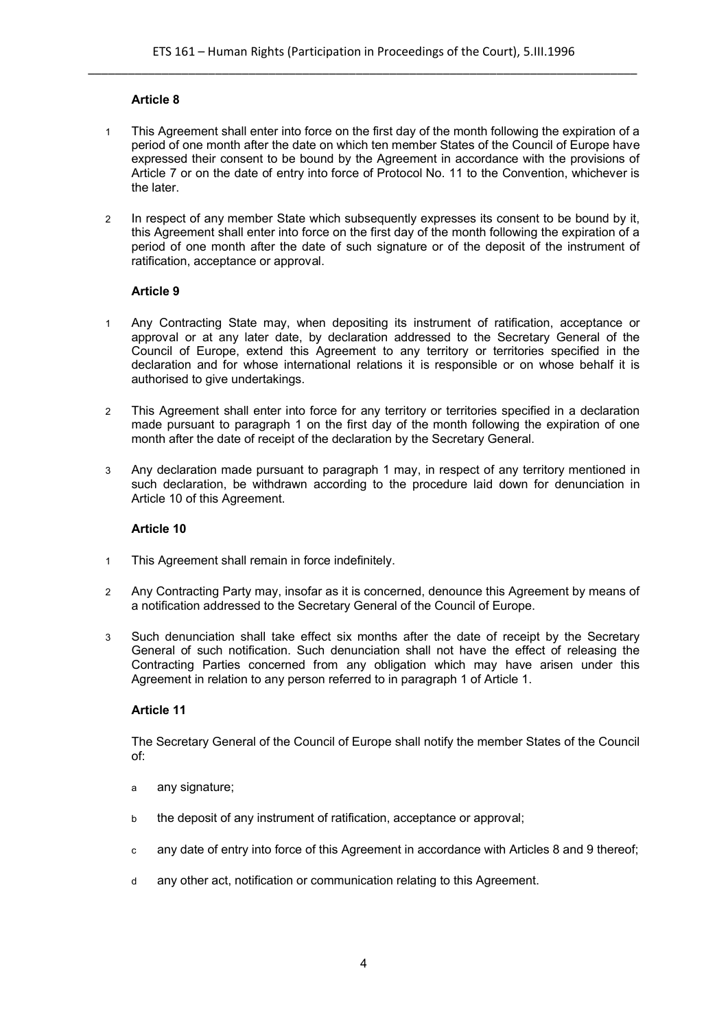## **Article 8**

- 1 This Agreement shall enter into force on the first day of the month following the expiration of a period of one month after the date on which ten member States of the Council of Europe have expressed their consent to be bound by the Agreement in accordance with the provisions of Article 7 or on the date of entry into force of Protocol No. 11 to the Convention, whichever is the later.
- 2 In respect of any member State which subsequently expresses its consent to be bound by it, this Agreement shall enter into force on the first day of the month following the expiration of a period of one month after the date of such signature or of the deposit of the instrument of ratification, acceptance or approval.

#### **Article 9**

- 1 Any Contracting State may, when depositing its instrument of ratification, acceptance or approval or at any later date, by declaration addressed to the Secretary General of the Council of Europe, extend this Agreement to any territory or territories specified in the declaration and for whose international relations it is responsible or on whose behalf it is authorised to give undertakings.
- 2 This Agreement shall enter into force for any territory or territories specified in a declaration made pursuant to paragraph 1 on the first day of the month following the expiration of one month after the date of receipt of the declaration by the Secretary General.
- 3 Any declaration made pursuant to paragraph 1 may, in respect of any territory mentioned in such declaration, be withdrawn according to the procedure laid down for denunciation in Article 10 of this Agreement.

#### **Article 10**

- 1 This Agreement shall remain in force indefinitely.
- 2 Any Contracting Party may, insofar as it is concerned, denounce this Agreement by means of a notification addressed to the Secretary General of the Council of Europe.
- 3 Such denunciation shall take effect six months after the date of receipt by the Secretary General of such notification. Such denunciation shall not have the effect of releasing the Contracting Parties concerned from any obligation which may have arisen under this Agreement in relation to any person referred to in paragraph 1 of Article 1.

#### **Article 11**

The Secretary General of the Council of Europe shall notify the member States of the Council of:

- a any signature;
- b the deposit of any instrument of ratification, acceptance or approval;
- c any date of entry into force of this Agreement in accordance with Articles 8 and 9 thereof;
- d any other act, notification or communication relating to this Agreement.